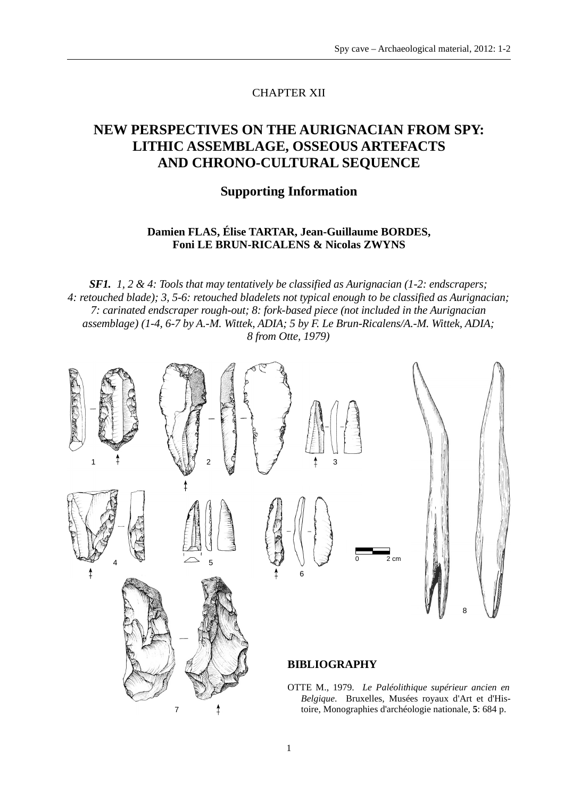## CHAPTER XII

# **NEW PERSPECTIVES ON THE AURIGNACIAN FROM SPY: LITHIC ASSEMBLAGE, OSSEOUS ARTEFACTS AND CHRONO-CULTURAL SEQUENCE**

### **Supporting Information**

## **Damien FLAS, Élise TARTAR, Jean-Guillaume BORDES, Foni LE BRUN-RICALENS & Nicolas ZWYNS**

*SF1. 1, 2 & 4: Tools that may tentatively be classified as Aurignacian (1-2: endscrapers; 4: retouched blade); 3, 5-6: retouched bladelets not typical enough to be classified as Aurignacian; 7: carinated endscraper rough-out; 8: fork-based piece (not included in the Aurignacian assemblage) (1-4, 6-7 by A.-M. Wittek, ADIA; 5 by F. Le Brun-Ricalens/A.-M. Wittek, ADIA; 8 from Otte, 1979)*